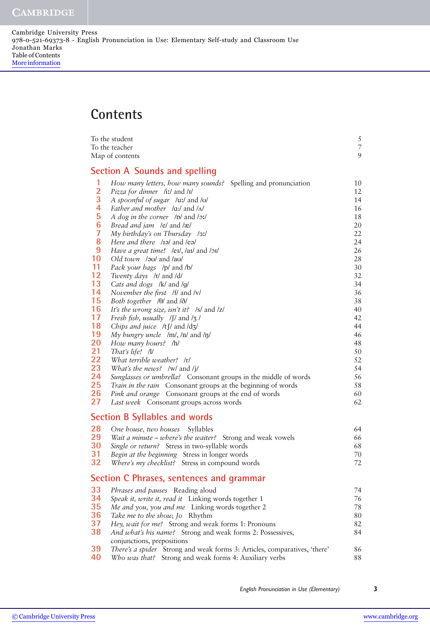Cambridge University Press 978-0-521-69373-8 - English Pronunciation in Use: Elementary Self-study and Classroom Use Jonathan Marks Table of Contents [More information](http://www.cambridge.org/052169373X)

## **Contents**

| To the student  |                                                                                                                | 5<br>$\overline{\phantom{a}}$ |
|-----------------|----------------------------------------------------------------------------------------------------------------|-------------------------------|
|                 | To the teacher<br>Map of contents                                                                              |                               |
|                 |                                                                                                                | 9                             |
|                 | <b>Section A Sounds and spelling</b>                                                                           |                               |
| 1               | How many letters, how many sounds? Spelling and pronunciation                                                  | 10                            |
| $\frac{2}{3}$   | Pizza for dinner /iː/ and /ɪ/                                                                                  | 12                            |
|                 | A spoonful of sugar /uː/ and /v/                                                                               | 14                            |
|                 | Father and mother /a:/ and / $\Lambda$ /                                                                       | 16                            |
| 5               | A dog in the corner /p/ and /p:/                                                                               | 18                            |
| $6\phantom{1}6$ | Bread and jam /e/ and /æ/                                                                                      | 20                            |
| $\overline{7}$  | My birthday's on Thursday /31/                                                                                 | 22                            |
| 8               | Here and there /II and /ev/                                                                                    | 24                            |
| 9               | Have a great time! /ei/, /ai/ and /oi/                                                                         | 26                            |
| 10              | Old town /ou/ and /au/                                                                                         | 28                            |
| 11<br>12        | Pack your bags /p/ and /b/                                                                                     | 30                            |
| 13              | Twenty days /t/ and /d/                                                                                        | 32                            |
| 14              | Cats and dogs /k/ and /g/                                                                                      | 34<br>36                      |
| 15              | November the first /f/ and /v/<br>Both together $\theta$ and $\delta$                                          | 38                            |
| 16              | It's the wrong size, isn't it? /s/ and /z/                                                                     | 40                            |
| 17              | Fresh fish, usually $\int \int \int$ and $\int$ /                                                              | 42                            |
| 18              | Chips and juice $/t \int / \text{ and } \frac{d\mathbf{x}}{2}$                                                 | 44                            |
| 19              | My hungry uncle /m/, /n/ and /n/                                                                               | 46                            |
| 20              | How many hours? /h/                                                                                            | 48                            |
| 21              | That's life! /l/                                                                                               | 50                            |
| 22              | What terrible weather! /r/                                                                                     | 52                            |
| 23              | What's the news? /w/ and /j/                                                                                   | 54                            |
| 24              | Sunglasses or umbrella? Consonant groups in the middle of words                                                | 56                            |
| 25              | Train in the rain Consonant groups at the beginning of words                                                   | 58                            |
| 26              | Pink and orange Consonant groups at the end of words                                                           | 60                            |
| 27              | Last week Consonant groups across words                                                                        | 62                            |
|                 | <b>Section B Syllables and words</b>                                                                           |                               |
| 28              | One house, two houses<br>Syllables                                                                             | 64                            |
| 29              | Wait a minute – where's the waiter? Strong and weak vowels                                                     | 66                            |
| 30              | Single or return? Stress in two-syllable words                                                                 | 68                            |
| 31              | Begin at the beginning Stress in longer words                                                                  | 70                            |
| 32              | Where's my checklist? Stress in compound words                                                                 | 72                            |
|                 | Section C Phrases, sentences and grammar                                                                       |                               |
| 33              | Phrases and pauses Reading aloud                                                                               | 74                            |
| 34              | Speak it, write it, read it Linking words together 1                                                           | 76                            |
| 35              | Me and you, you and me Linking words together 2                                                                | 78                            |
| 36              | Take me to the show, Jo Rhythm                                                                                 | 80                            |
| 37              | Hey, wait for me! Strong and weak forms 1: Pronouns                                                            | 82                            |
| 38              | And what's his name? Strong and weak forms 2: Possessives,                                                     | 84                            |
| 39              | conjunctions, prepositions<br><i>There's a spider</i> Strong and weak forms 3: Articles, comparatives, 'there' | 86                            |
| 40              | Who was that? Strong and weak forms 4: Auxiliary verbs                                                         | 88                            |
|                 |                                                                                                                |                               |